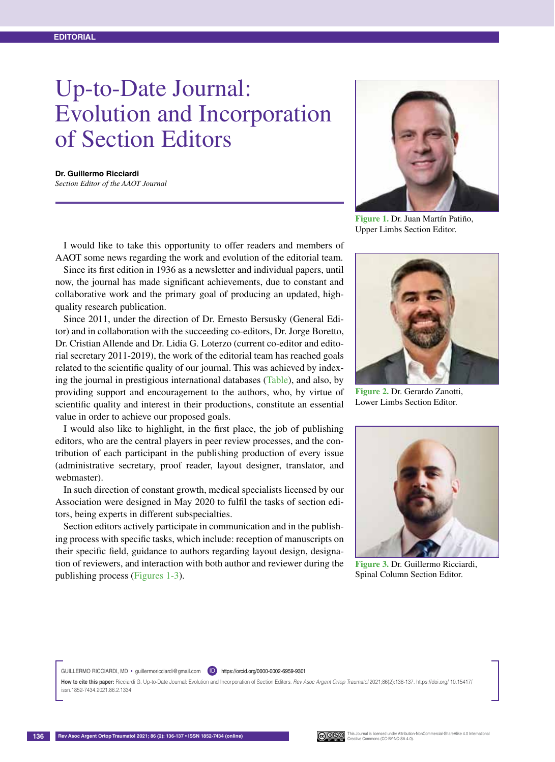## Up-to-Date Journal: Evolution and Incorporation of Section Editors

**Dr. Guillermo Ricciardi**  *Section Editor of the AAOT Journal*

I would like to take this opportunity to offer readers and members of AAOT some news regarding the work and evolution of the editorial team.

Since its first edition in 1936 as a newsletter and individual papers, until now, the journal has made significant achievements, due to constant and collaborative work and the primary goal of producing an updated, highquality research publication.

Since 2011, under the direction of Dr. Ernesto Bersusky (General Editor) and in collaboration with the succeeding co-editors, Dr. Jorge Boretto, Dr. Cristian Allende and Dr. Lidia G. Loterzo (current co-editor and editorial secretary 2011-2019), the work of the editorial team has reached goals related to the scientific quality of our journal. This was achieved by indexing the journal in prestigious international databases (Table), and also, by providing support and encouragement to the authors, who, by virtue of scientific quality and interest in their productions, constitute an essential value in order to achieve our proposed goals.

I would also like to highlight, in the first place, the job of publishing editors, who are the central players in peer review processes, and the contribution of each participant in the publishing production of every issue (administrative secretary, proof reader, layout designer, translator, and webmaster).

In such direction of constant growth, medical specialists licensed by our Association were designed in May 2020 to fulfil the tasks of section editors, being experts in different subspecialties.

Section editors actively participate in communication and in the publishing process with specific tasks, which include: reception of manuscripts on their specific field, guidance to authors regarding layout design, designation of reviewers, and interaction with both author and reviewer during the publishing process (Figures 1-3).



**Figure 1.** Dr. Juan Martín Patiño, Upper Limbs Section Editor.



**Figure 2.** Dr. Gerardo Zanotti, Lower Limbs Section Editor.



**Figure 3.** Dr. Guillermo Ricciardi, Spinal Column Section Editor.

GUILLERMO RICCIARDI, MD · guillermoricciardi@gmail.com (D) https://orcid.org/0000-0002-6959-9301

**How to cite this paper:** Ricciardi G. Up-to-Date Journal: Evolution and Incorporation of Section Editors. *Rev Asoc Argent Ortop Traumatol* 2021;86(2):136-137. https://doi.org/ 10.15417/ issn.1852-7434.2021.86.2.1334